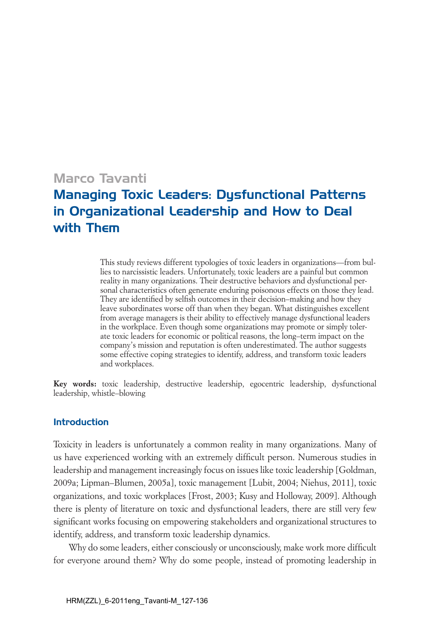# Marco Tavanti

# Managing Toxic Leaders: Dysfunctional Patterns in Organizational Leadership and How to Deal with Them

*This study reviews different typologies of toxic leaders in organizations—from bullies to narcissistic leaders. Unfortunately, toxic leaders are a painful but common reality in many organizations. Their destructive behaviors and dysfunctional personal characteristics often generate enduring poisonous effects on those they lead. They are identified by selfish outcomes in their decision–making and how they*  leave subordinates worse off than when they began. What distinguishes excellent *from average managers is their ability to effectively manage dysfunctional leaders in the workplace. Even though some organizations may promote or simply toler*ate toxic leaders for economic or political reasons, the long–term impact on the *company's mission and reputation is often underestimated. The author suggests some effective coping strategies to identify, address, and transform toxic leaders and workplaces.*

*Key words: toxic leadership, destructive leadership, egocentric leadership, dysfunctional leadership, whistle–blowing*

# Introduction

*Toxicity in leaders is unfortunately a common reality in many organizations. Many of us have experienced working with an extremely difficult person. Numerous studies in leadership and management increasingly focus on issues like toxic leadership [Goldman, 2009a; Lipman–Blumen, 2005a], toxic management [Lubit, 2004; Niehus, 2011], toxic organizations, and toxic workplaces [Frost, 2003; Kusy and Holloway, 2009]. Although there is plenty of literature on toxic and dysfunctional leaders, there are still very few significant works focusing on empowering stakeholders and organizational structures to identify, address, and transform toxic leadership dynamics.* 

*Why do some leaders, either consciously or unconsciously, make work more difficult*  for everyone around them? Why do some people, instead of promoting leadership in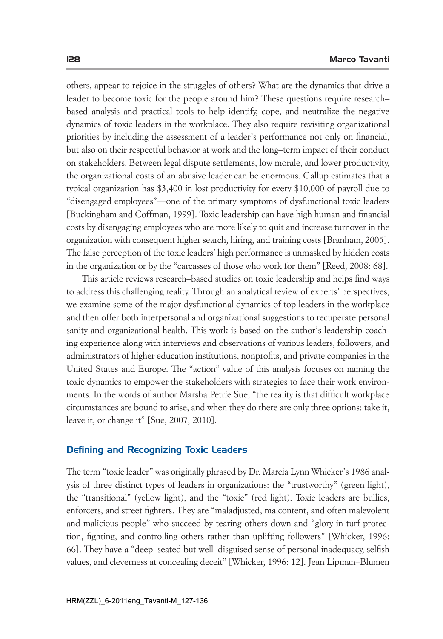*others, appear to rejoice in the struggles of others? What are the dynamics that drive a leader to become toxic for the people around him? These questions require research–* based analysis and practical tools to help identify, cope, and neutralize the negative *dynamics of toxic leaders in the workplace. They also require revisiting organizational priorities by including the assessment of a leader's performance not only on financial, but also on their respectful behavior at work and the long–term impact of their conduct on stakeholders. Between legal dispute settlements, low morale, and lower productivity, the organizational costs of an abusive leader can be enormous. Gallup estimates that a typical organization has \$3,400 in lost productivity for every \$10,000 of payroll due to "disengaged employees"—one of the primary symptoms of dysfunctional toxic leaders [Buckingham and Coffman, 1999]. Toxic leadership can have high human and financial costs by disengaging employees who are more likely to quit and increase turnover in the organization with consequent higher search, hiring, and training costs [Branham, 2005]. The false perception of the toxic leaders' high performance is unmasked by hidden costs*  in the organization or by the "carcasses of those who work for them" [Reed, 2008: 68].

*This article reviews research–based studies on toxic leadership and helps find ways to address this challenging reality. Through an analytical review of experts' perspectives,*  we examine some of the major dysfunctional dynamics of top leaders in the workplace and then offer both interpersonal and organizational suggestions to recuperate personal *sanity and organizational health. This work is based on the author's leadership coaching experience along with interviews and observations of various leaders, followers, and administrators of higher education institutions, nonprofits, and private companies in the United States and Europe. The "action" value of this analysis focuses on naming the toxic dynamics to empower the stakeholders with strategies to face their work environments. In the words of author Marsha Petrie Sue, "the reality is that difficult workplace circumstances are bound to arise, and when they do there are only three options: take it, leave it, or change it" [Sue, 2007, 2010].* 

## Defining and Recognizing Toxic Leaders

*The term "toxic leader" was originally phrased by Dr. Marcia Lynn Whicker's 1986 analysis of three distinct types of leaders in organizations: the "trustworthy" (green light), the "transitional" (yellow light), and the "toxic" (red light). Toxic leaders are bullies,*  enforcers, and street fighters. They are "maladjusted, malcontent, and often malevolent *and malicious people" who succeed by tearing others down and "glory in turf protec*tion, fighting, and controlling others rather than uplifting followers" [Whicker, 1996: *66]. They have a "deep–seated but well–disguised sense of personal inadequacy, selfish*  values, and cleverness at concealing deceit" [Whicker, 1996: 12]. Jean Lipman-Blumen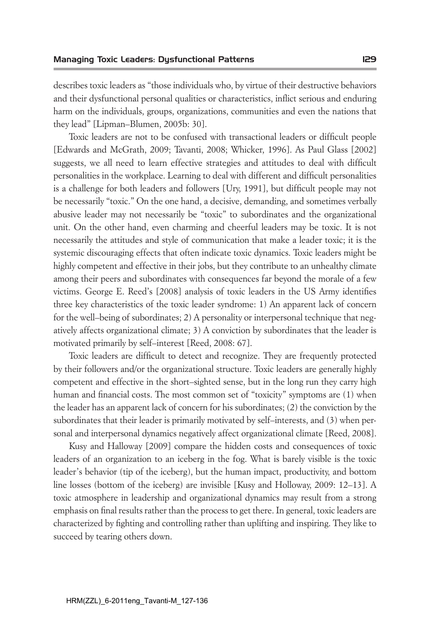*describes toxic leaders as "those individuals who, by virtue of their destructive behaviors*  and their dysfunctional personal qualities or characteristics, inflict serious and enduring *harm on the individuals, groups, organizations, communities and even the nations that they lead" [Lipman–Blumen, 2005b: 30].*

*Toxic leaders are not to be confused with transactional leaders or difficult people [Edwards and McGrath, 2009; Tavanti, 2008; Whicker, 1996]. As Paul Glass [2002] suggests, we all need to learn effective strategies and attitudes to deal with difficult personalities in the workplace. Learning to deal with different and difficult personalities is a challenge for both leaders and followers [Ury, 1991], but difficult people may not be necessarily "toxic." On the one hand, a decisive, demanding, and sometimes verbally*  abusive leader may not necessarily be "toxic" to subordinates and the organizational *unit.* On the other hand, even charming and cheerful leaders may be toxic. It is not *necessarily the attitudes and style of communication that make a leader toxic; it is the systemic discouraging effects that often indicate toxic dynamics. Toxic leaders might be*  highly competent and effective in their jobs, but they contribute to an unhealthy climate *among their peers and subordinates with consequences far beyond the morale of a few victims. George E. Reed's [2008] analysis of toxic leaders in the US Army identifies three key characteristics of the toxic leader syndrome: 1) An apparent lack of concern for the well–being of subordinates; 2) A personality or interpersonal technique that negatively affects organizational climate; 3) A conviction by subordinates that the leader is motivated primarily by self–interest [Reed, 2008: 67].* 

Toxic leaders are difficult to detect and recognize. They are frequently protected *by their followers and/or the organizational structure. Toxic leaders are generally highly competent and effective in the short–sighted sense, but in the long run they carry high human and financial costs. The most common set of "toxicity" symptoms are (1) when the leader has an apparent lack of concern for his subordinates; (2) the conviction by the subordinates that their leader is primarily motivated by self–interests, and (3) when personal and interpersonal dynamics negatively affect organizational climate [Reed, 2008].* 

*Kusy and Halloway [2009] compare the hidden costs and consequences of toxic leaders of an organization to an iceberg in the fog. What is barely visible is the toxic leader's behavior (tip of the iceberg), but the human impact, productivity, and bottom line losses (bottom of the iceberg) are invisible [Kusy and Holloway, 2009: 12–13]. A toxic atmosphere in leadership and organizational dynamics may result from a strong emphasis on final results rather than the process to get there. In general, toxic leaders are characterized by fighting and controlling rather than uplifting and inspiring. They like to succeed by tearing others down.*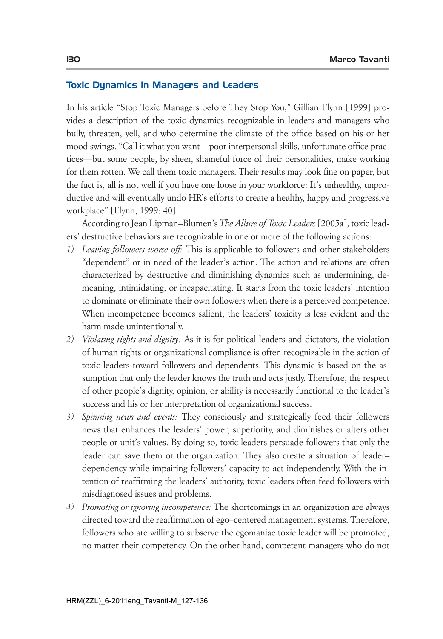#### Toxic Dynamics in Managers and Leaders

*In his article "Stop Toxic Managers before They Stop You," Gillian Flynn [1999] provides a description of the toxic dynamics recognizable in leaders and managers who bully, threaten, yell, and who determine the climate of the office based on his or her mood swings. "Call it what you want––poor interpersonal skills, unfortunate office practices––but some people, by sheer, shameful force of their personalities, make working*  for them rotten. We call them toxic managers. Their results may look fine on paper, but *the fact is, all is not well if you have one loose in your workforce: It's unhealthy, unproductive and will eventually undo HR's efforts to create a healthy, happy and progressive workplace" [Flynn, 1999: 40].* 

*According to Jean Lipman–Blumen's The Allure of Toxic Leaders [2005a], toxic leaders' destructive behaviors are recognizable in one or more of the following actions:* 

- *1) Leaving followers worse off: This is applicable to followers and other stakeholders "dependent" or in need of the leader's action. The action and relations are often characterized by destructive and diminishing dynamics such as undermining, demeaning, intimidating, or incapacitating. It starts from the toxic leaders' intention*  to dominate or eliminate their own followers when there is a perceived competence. *When incompetence becomes salient, the leaders' toxicity is less evident and the harm made unintentionally.*
- *2) Violating rights and dignity: As it is for political leaders and dictators, the violation of human rights or organizational compliance is often recognizable in the action of toxic leaders toward followers and dependents. This dynamic is based on the assumption that only the leader knows the truth and acts justly. Therefore, the respect of other people's dignity, opinion, or ability is necessarily functional to the leader's success and his or her interpretation of organizational success.*
- *3) Spinning news and events: They consciously and strategically feed their followers news that enhances the leaders' power, superiority, and diminishes or alters other people or unit's values. By doing so, toxic leaders persuade followers that only the leader can save them or the organization. They also create a situation of leader– dependency while impairing followers' capacity to act independently. With the intention of reaffirming the leaders' authority, toxic leaders often feed followers with misdiagnosed issues and problems.*
- *4) Promoting or ignoring incompetence: The shortcomings in an organization are always directed toward the reaffirmation of ego–centered management systems. Therefore,*  followers who are willing to subserve the egomaniac toxic leader will be promoted, *no matter their competency. On the other hand, competent managers who do not*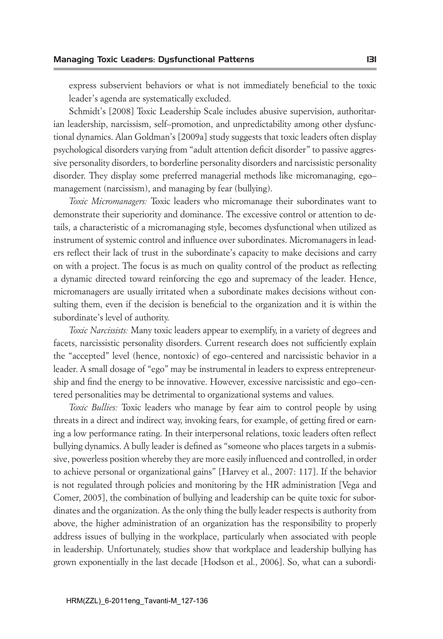*express subservient behaviors or what is not immediately beneficial to the toxic leader's agenda are systematically excluded.* 

*Schmidt's [2008] Toxic Leadership Scale includes abusive supervision, authoritarian leadership, narcissism, self–promotion, and unpredictability among other dysfunctional dynamics. Alan Goldman's [2009a] study suggests that toxic leaders often display psychological disorders varying from "adult attention deficit disorder" to passive aggressive personality disorders, to borderline personality disorders and narcissistic personality disorder. They display some preferred managerial methods like micromanaging, ego– management (narcissism), and managing by fear (bullying).* 

*Toxic Micromanagers: Toxic leaders who micromanage their subordinates want to demonstrate their superiority and dominance. The excessive control or attention to details, a characteristic of a micromanaging style, becomes dysfunctional when utilized as instrument of systemic control and influence over subordinates. Micromanagers in leaders reflect their lack of trust in the subordinate's capacity to make decisions and carry on with a project. The focus is as much on quality control of the product as reflecting a dynamic directed toward reinforcing the ego and supremacy of the leader. Hence, micromanagers are usually irritated when a subordinate makes decisions without con*sulting them, even if the decision is beneficial to the organization and it is within the *subordinate's level of authority.*

*Toxic Narcissists: Many toxic leaders appear to exemplify, in a variety of degrees and*  facets, narcissistic personality disorders. Current research does not sufficiently explain *the "accepted" level (hence, nontoxic) of ego–centered and narcissistic behavior in a leader. A small dosage of "ego" may be instrumental in leaders to express entrepreneurship and find the energy to be innovative. However, excessive narcissistic and ego–centered personalities may be detrimental to organizational systems and values.* 

*Toxic Bullies: Toxic leaders who manage by fear aim to control people by using threats in a direct and indirect way, invoking fears, for example, of getting fired or earn*ing a low performance rating. In their interpersonal relations, toxic leaders often reflect *bullying dynamics. A bully leader is defined as "someone who places targets in a submissive, powerless position whereby they are more easily influenced and controlled, in order*  to achieve personal or organizational gains" [Harvey et al., 2007: 117]. If the behavior *is not regulated through policies and monitoring by the HR administration [Vega and Comer, 2005], the combination of bullying and leadership can be quite toxic for subordinates and the organization. As the only thing the bully leader respects is authority from*  above, the higher administration of an organization has the responsibility to properly address issues of bullying in the workplace, particularly when associated with people *in leadership. Unfortunately, studies show that workplace and leadership bullying has grown exponentially in the last decade [Hodson et al., 2006]. So, what can a subordi-*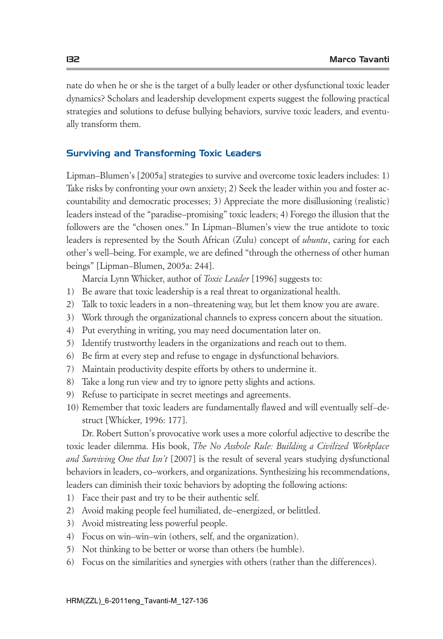*nate do when he or she is the target of a bully leader or other dysfunctional toxic leader dynamics?* Scholars and leadership development experts suggest the following practical *strategies and solutions to defuse bullying behaviors, survive toxic leaders, and eventually transform them.* 

# Surviving and Transforming Toxic Leaders

*Lipman–Blumen's [2005a] strategies to survive and overcome toxic leaders includes: 1) Take risks by confronting your own anxiety; 2) Seek the leader within you and foster accountability and democratic processes; 3) Appreciate the more disillusioning (realistic)*  leaders instead of the "paradise–promising" toxic leaders; 4) Forego the illusion that the *followers are the "chosen ones." In Lipman–Blumen's view the true antidote to toxic leaders is represented by the South African (Zulu) concept of <i>ubuntu*, caring for each *other's well–being. For example, we are defined "through the otherness of other human beings" [Lipman–Blumen, 2005a: 244].* 

*Marcia Lynn Whicker, author of Toxic Leader [1996] suggests to:*

- *1) Be aware that toxic leadership is a real threat to organizational health.*
- *2) Talk to toxic leaders in a non–threatening way, but let them know you are aware.*
- *3) Work through the organizational channels to express concern about the situation.*
- *4) Put everything in writing, you may need documentation later on.*
- *5) Identify trustworthy leaders in the organizations and reach out to them.*
- *6) Be firm at every step and refuse to engage in dysfunctional behaviors.*
- *7) Maintain productivity despite efforts by others to undermine it.*
- *8) Take a long run view and try to ignore petty slights and actions.*
- *9) Refuse to participate in secret meetings and agreements.*
- *10) Remember that toxic leaders are fundamentally flawed and will eventually self–destruct [Whicker, 1996: 177].*

*Dr. Robert Sutton's provocative work uses a more colorful adjective to describe the toxic leader dilemma. His book, The No Asshole Rule: Building a Civilized Workplace and Surviving One that Isn't* [2007] is the result of several years studying dysfunctional *behaviors in leaders, co–workers, and organizations. Synthesizing his recommendations, leaders can diminish their toxic behaviors by adopting the following actions:*

- *1) Face their past and try to be their authentic self.*
- *2) Avoid making people feel humiliated, de–energized, or belittled.*
- *3) Avoid mistreating less powerful people.*
- *4) Focus on win–win–win (others, self, and the organization).*
- *5) Not thinking to be better or worse than others (be humble).*
- *6) Focus on the similarities and synergies with others (rather than the differences).*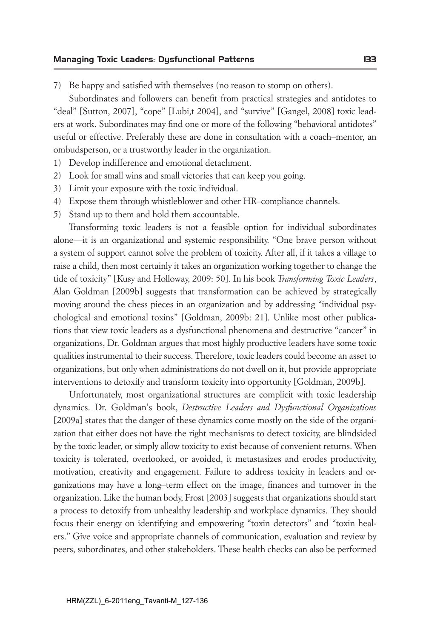*7) Be happy and satisfied with themselves (no reason to stomp on others).*

*Subordinates and followers can benefit from practical strategies and antidotes to "deal" [Sutton, 2007], "cope" [Lubi,t 2004], and "survive" [Gangel, 2008] toxic leaders at work. Subordinates may find one or more of the following "behavioral antidotes"*  useful or effective. Preferably these are done in consultation with a coach–mentor, an *ombudsperson, or a trustworthy leader in the organization.*

- *1) Develop indifference and emotional detachment.*
- *2) Look for small wins and small victories that can keep you going.*
- *3) Limit your exposure with the toxic individual.*
- *4) Expose them through whistleblower and other HR–compliance channels.*
- *5) Stand up to them and hold them accountable.*

*Transforming toxic leaders is not a feasible option for individual subordinates alone—it is an organizational and systemic responsibility. "One brave person without a system of support cannot solve the problem of toxicity. After all, if it takes a village to*  raise a child, then most certainly it takes an organization working together to change the *tide of toxicity" [Kusy and Holloway, 2009: 50]. In his book Transforming Toxic Leaders, Alan Goldman [2009b] suggests that transformation can be achieved by strategically moving around the chess pieces in an organization and by addressing "individual psychological and emotional toxins" [Goldman, 2009b: 21]. Unlike most other publications that view toxic leaders as a dysfunctional phenomena and destructive "cancer" in organizations, Dr. Goldman argues that most highly productive leaders have some toxic qualities instrumental to their success. Therefore, toxic leaders could become an asset to organizations, but only when administrations do not dwell on it, but provide appropriate*  interventions to detoxify and transform toxicity into opportunity [Goldman, 2009b].

*Unfortunately, most organizational structures are complicit with toxic leadership dynamics. Dr. Goldman's book, Destructive Leaders and Dysfunctional Organizations [2009a] states that the danger of these dynamics come mostly on the side of the organization that either does not have the right mechanisms to detect toxicity, are blindsided by the toxic leader, or simply allow toxicity to exist because of convenient returns. When toxicity is tolerated, overlooked, or avoided, it metastasizes and erodes productivity, motivation, creativity and engagement. Failure to address toxicity in leaders and organizations may have a long–term effect on the image, finances and turnover in the organization. Like the human body, Frost [2003] suggests that organizations should start a process to detoxify from unhealthy leadership and workplace dynamics. They should focus their energy on identifying and empowering "toxin detectors" and "toxin healers." Give voice and appropriate channels of communication, evaluation and review by peers, subordinates, and other stakeholders. These health checks can also be performed*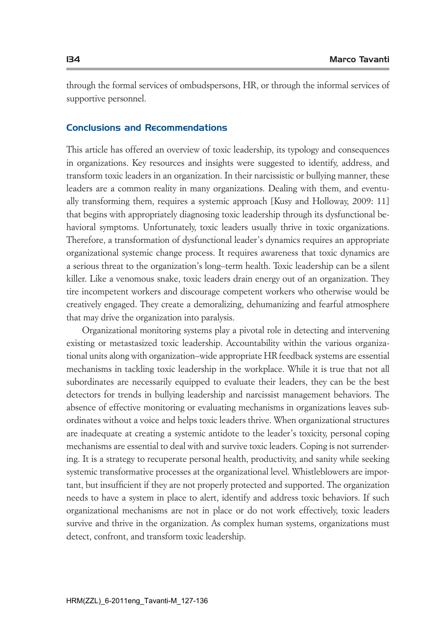*through the formal services of ombudspersons, HR, or through the informal services of supportive personnel.* 

# Conclusions and Recommendations

*This article has offered an overview of toxic leadership, its typology and consequences in organizations. Key resources and insights were suggested to identify, address, and transform toxic leaders in an organization. In their narcissistic or bullying manner, these leaders are a common reality in many organizations. Dealing with them, and eventu*ally transforming them, requires a systemic approach [Kusy and Holloway, 2009: 11] *that begins with appropriately diagnosing toxic leadership through its dysfunctional behavioral symptoms. Unfortunately, toxic leaders usually thrive in toxic organizations. Therefore, a transformation of dysfunctional leader's dynamics requires an appropriate organizational systemic change process. It requires awareness that toxic dynamics are a serious threat to the organization's long–term health. Toxic leadership can be a silent killer. Like a venomous snake, toxic leaders drain energy out of an organization. They tire incompetent workers and discourage competent workers who otherwise would be creatively engaged. They create a demoralizing, dehumanizing and fearful atmosphere that may drive the organization into paralysis.* 

*Organizational monitoring systems play a pivotal role in detecting and intervening existing or metastasized toxic leadership. Accountability within the various organizational units along with organization–wide appropriate HR feedback systems are essential*  mechanisms in tackling toxic leadership in the workplace. While it is true that not all *subordinates are necessarily equipped to evaluate their leaders, they can be the best detectors for trends in bullying leadership and narcissist management behaviors. The absence of effective monitoring or evaluating mechanisms in organizations leaves subordinates without a voice and helps toxic leaders thrive. When organizational structures are inadequate at creating a systemic antidote to the leader's toxicity, personal coping mechanisms are essential to deal with and survive toxic leaders. Coping is not surrendering. It is a strategy to recuperate personal health, productivity, and sanity while seeking systemic transformative processes at the organizational level. Whistleblowers are impor*tant, but insufficient if they are not properly protected and supported. The organization *needs to have a system in place to alert, identify and address toxic behaviors. If such organizational mechanisms are not in place or do not work effectively, toxic leaders survive and thrive in the organization. As complex human systems, organizations must detect, confront, and transform toxic leadership.*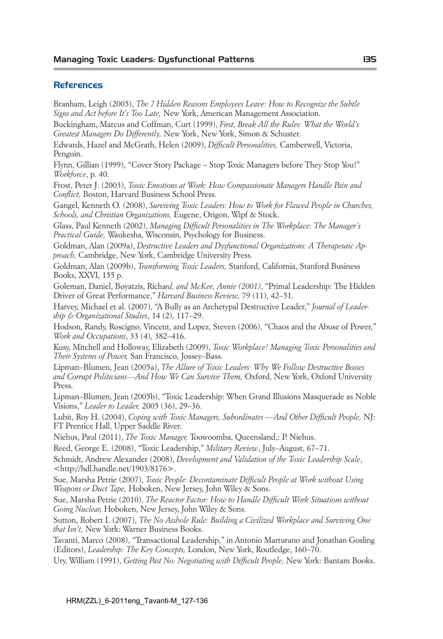#### **References**

*Branham, Leigh (2005), The 7 Hidden Reasons Employees Leave: How to Recognize the Subtle Signs and Act before It's Too Late, New York, American Management Association. Buckingham, Marcus and Coffman, Curt (1999), First, Break All the Rules: What the World's Greatest Managers Do Differently, New York, New York, Simon & Schuster. Edwards, Hazel and McGrath, Helen (2009), Difficult Personalities, Camberwell, Victoria, Penguin. Flynn, Gillian (1999), "Cover Story Package – Stop Toxic Managers before They Stop You!" Workforce, p. 40. Frost, Peter J. (2003), Toxic Emotions at Work: How Compassionate Managers Handle Pain and Conflict, Boston, Harvard Business School Press. Gangel, Kenneth O. (2008), Surviving Toxic Leaders: How to Work for Flawed People in Churches, Schools, and Christian Organizations, Eugene, Origon, Wipf & Stock. Glass, Paul Kenneth (2002), Managing Difficult Personalities in The Workplace: The Manager's Practical Guide, Waukesha, Wisconsin, Psychology for Business. Goldman, Alan (2009a), Destructive Leaders and Dysfunctional Organizations: A Therapeutic Approach, Cambridge, New York, Cambridge University Press. Goldman, Alan (2009b), Transforming Toxic Leaders, Stanford, California, Stanford Business Books, XXVI, 155 p. Goleman, Daniel, Boyatzis, Richard, and McKee, Annie (2001), "Primal Leadership: The Hidden Driver of Great Performance," Harvard Business Review, 79 (11), 42–51. Harvey, Michael et al. (2007), "A Bully as an Archetypal Destructive Leader," Journal of Leadership & Organizational Studies, 14 (2), 117–29. Hodson, Randy, Roscigno, Vincent, and Lopez, Steven (2006), "Chaos and the Abuse of Power," Work and Occupations, 33 (4), 382–416. Kusy, Mitchell and Holloway, Elizabeth (2009), Toxic Workplace! Managing Toxic Personalities and Their Systems of Power, San Francisco, Jossey–Bass. Lipman–Blumen, Jean (2005a), The Allure of Toxic Leaders: Why We Follow Destructive Bosses and Corrupt Politicians––And How We Can Survive Them, Oxford, New York, Oxford University Press. Lipman–Blumen, Jean (2005b), "Toxic Leadership: When Grand Illusions Masquerade as Noble Visions," Leader to Leader, 2005 (36), 29–36. Lubit, Roy H. (2004), Coping with Toxic Managers, Subordinates ––And Other Difficult People, NJ: FT Prentice Hall, Upper Saddle River. Niehus, Paul (2011), The Toxic Manager, Toowoomba, Queensland,: P. Niehus. Reed, George E. (2008), "Toxic Leadership," Military Review, July–August, 67–71. Schmidt, Andrew Alexander (2008), Development and Validation of the Toxic Leadership Scale, <http://hdl.handle.net/1903/8176>. Sue, Marsha Petrie (2007), Toxic People: Decontaminate Difficult People at Work without Using Weapons or Duct Tape, Hoboken, New Jersey, John Wiley & Sons. Sue, Marsha Petrie (2010), The Reactor Factor: How to Handle Difficult Work Situations without Going Nuclear, Hoboken, New Jersey, John Wiley & Sons. Sutton, Robert I. (2007), The No Asshole Rule: Building a Civilized Workplace and Surviving One that Isn't, New York: Warner Business Books. Tavanti, Marco (2008), "Transactional Leadership," in Antonio Marturano and Jonathan Gosling (Editors), Leadership: The Key Concepts, London, New York, Routledge, 160–70. Ury, William (1991), Getting Past No: Negotiating with Difficult People, New York: Bantam Books.*